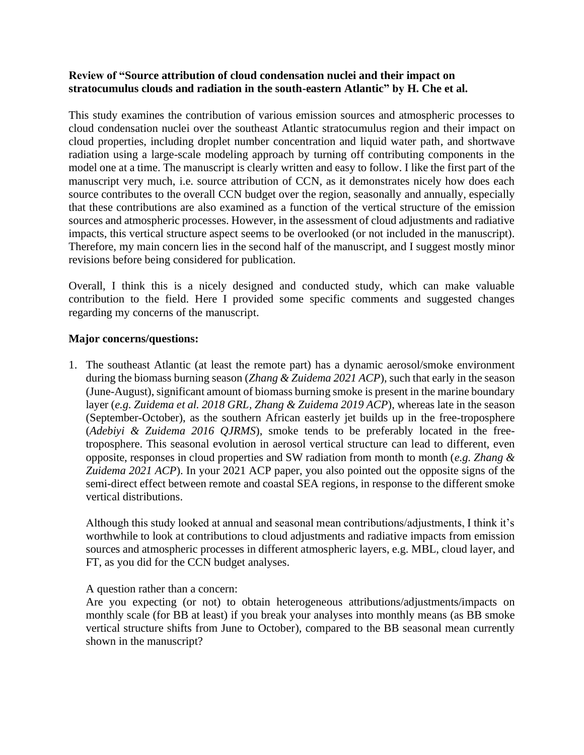## **Review of "Source attribution of cloud condensation nuclei and their impact on stratocumulus clouds and radiation in the south-eastern Atlantic" by H. Che et al.**

This study examines the contribution of various emission sources and atmospheric processes to cloud condensation nuclei over the southeast Atlantic stratocumulus region and their impact on cloud properties, including droplet number concentration and liquid water path, and shortwave radiation using a large-scale modeling approach by turning off contributing components in the model one at a time. The manuscript is clearly written and easy to follow. I like the first part of the manuscript very much, i.e. source attribution of CCN, as it demonstrates nicely how does each source contributes to the overall CCN budget over the region, seasonally and annually, especially that these contributions are also examined as a function of the vertical structure of the emission sources and atmospheric processes. However, in the assessment of cloud adjustments and radiative impacts, this vertical structure aspect seems to be overlooked (or not included in the manuscript). Therefore, my main concern lies in the second half of the manuscript, and I suggest mostly minor revisions before being considered for publication.

Overall, I think this is a nicely designed and conducted study, which can make valuable contribution to the field. Here I provided some specific comments and suggested changes regarding my concerns of the manuscript.

## **Major concerns/questions:**

1. The southeast Atlantic (at least the remote part) has a dynamic aerosol/smoke environment during the biomass burning season (*Zhang & Zuidema 2021 ACP*), such that early in the season (June-August), significant amount of biomass burning smoke is present in the marine boundary layer (*e.g. Zuidema et al. 2018 GRL, Zhang & Zuidema 2019 ACP*), whereas late in the season (September-October), as the southern African easterly jet builds up in the free-troposphere (*Adebiyi & Zuidema 2016 QJRMS*), smoke tends to be preferably located in the freetroposphere. This seasonal evolution in aerosol vertical structure can lead to different, even opposite, responses in cloud properties and SW radiation from month to month (*e.g. Zhang & Zuidema 2021 ACP*). In your 2021 ACP paper, you also pointed out the opposite signs of the semi-direct effect between remote and coastal SEA regions, in response to the different smoke vertical distributions.

Although this study looked at annual and seasonal mean contributions/adjustments, I think it's worthwhile to look at contributions to cloud adjustments and radiative impacts from emission sources and atmospheric processes in different atmospheric layers, e.g. MBL, cloud layer, and FT, as you did for the CCN budget analyses.

## A question rather than a concern:

Are you expecting (or not) to obtain heterogeneous attributions/adjustments/impacts on monthly scale (for BB at least) if you break your analyses into monthly means (as BB smoke vertical structure shifts from June to October), compared to the BB seasonal mean currently shown in the manuscript?